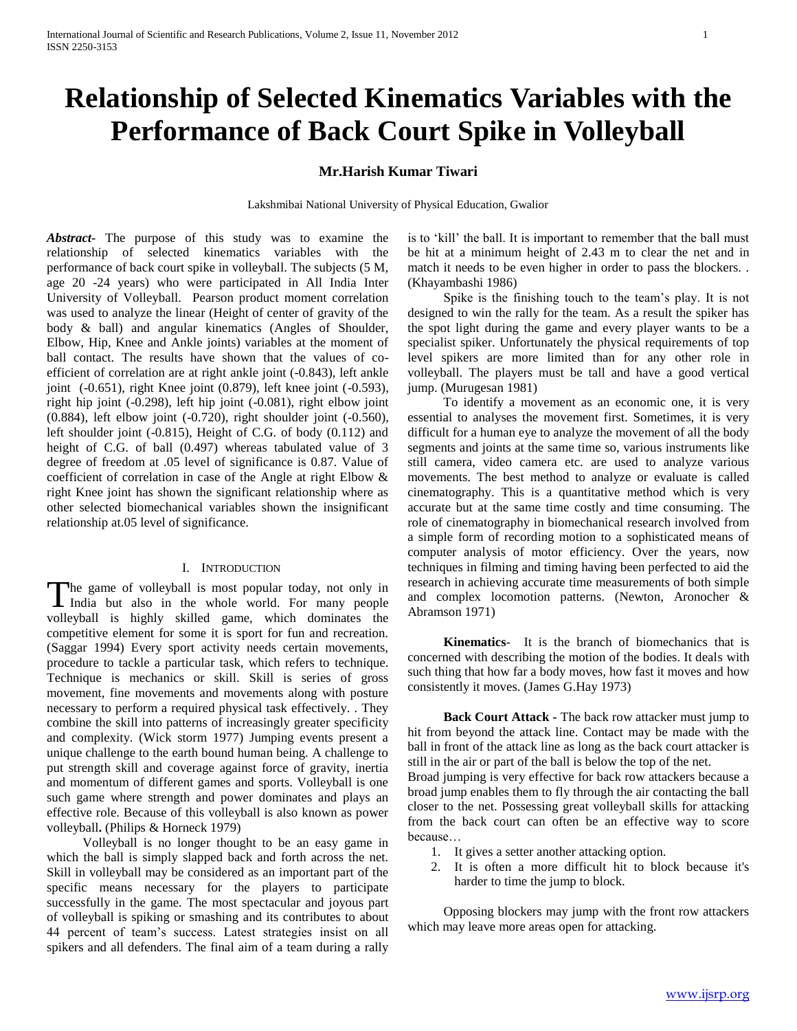# **Relationship of Selected Kinematics Variables with the Performance of Back Court Spike in Volleyball**

# **Mr.Harish Kumar Tiwari**

Lakshmibai National University of Physical Education, Gwalior

*Abstract***-** The purpose of this study was to examine the relationship of selected kinematics variables with the performance of back court spike in volleyball. The subjects (5 M, age 20 -24 years) who were participated in All India Inter University of Volleyball. Pearson product moment correlation was used to analyze the linear (Height of center of gravity of the body & ball) and angular kinematics (Angles of Shoulder, Elbow, Hip, Knee and Ankle joints) variables at the moment of ball contact. The results have shown that the values of coefficient of correlation are at right ankle joint (-0.843), left ankle joint (-0.651), right Knee joint (0.879), left knee joint (-0.593), right hip joint (-0.298), left hip joint (-0.081), right elbow joint (0.884), left elbow joint (-0.720), right shoulder joint (-0.560), left shoulder joint (-0.815), Height of C.G. of body (0.112) and height of C.G. of ball (0.497) whereas tabulated value of 3 degree of freedom at .05 level of significance is 0.87. Value of coefficient of correlation in case of the Angle at right Elbow & right Knee joint has shown the significant relationship where as other selected biomechanical variables shown the insignificant relationship at.05 level of significance.

# I. INTRODUCTION

The game of volleyball is most popular today, not only in The game of volleyball is most popular today, not only in India but also in the whole world. For many people volleyball is highly skilled game, which dominates the competitive element for some it is sport for fun and recreation. (Saggar 1994) Every sport activity needs certain movements, procedure to tackle a particular task, which refers to technique. Technique is mechanics or skill. Skill is series of gross movement, fine movements and movements along with posture necessary to perform a required physical task effectively. . They combine the skill into patterns of increasingly greater specificity and complexity. (Wick storm 1977) Jumping events present a unique challenge to the earth bound human being. A challenge to put strength skill and coverage against force of gravity, inertia and momentum of different games and sports. Volleyball is one such game where strength and power dominates and plays an effective role. Because of this volleyball is also known as power volleyball**.** (Philips & Horneck 1979)

 Volleyball is no longer thought to be an easy game in which the ball is simply slapped back and forth across the net. Skill in volleyball may be considered as an important part of the specific means necessary for the players to participate successfully in the game. The most spectacular and joyous part of volleyball is spiking or smashing and its contributes to about 44 percent of team's success. Latest strategies insist on all spikers and all defenders. The final aim of a team during a rally is to 'kill' the ball. It is important to remember that the ball must be hit at a minimum height of 2.43 m to clear the net and in match it needs to be even higher in order to pass the blockers... (Khayambashi 1986)

 Spike is the finishing touch to the team's play. It is not designed to win the rally for the team. As a result the spiker has the spot light during the game and every player wants to be a specialist spiker. Unfortunately the physical requirements of top level spikers are more limited than for any other role in volleyball. The players must be tall and have a good vertical jump. (Murugesan 1981)

 To identify a movement as an economic one, it is very essential to analyses the movement first. Sometimes, it is very difficult for a human eye to analyze the movement of all the body segments and joints at the same time so, various instruments like still camera, video camera etc. are used to analyze various movements. The best method to analyze or evaluate is called cinematography. This is a quantitative method which is very accurate but at the same time costly and time consuming. The role of cinematography in biomechanical research involved from a simple form of recording motion to a sophisticated means of computer analysis of motor efficiency. Over the years, now techniques in filming and timing having been perfected to aid the research in achieving accurate time measurements of both simple and complex locomotion patterns. (Newton, Aronocher & Abramson 1971)

 **Kinematics**- It is the branch of biomechanics that is concerned with describing the motion of the bodies. It deals with such thing that how far a body moves, how fast it moves and how consistently it moves. (James G.Hay 1973)

 **Back Court Attack -** The back row attacker must jump to hit from beyond the attack line. Contact may be made with the ball in front of the attack line as long as the back court attacker is still in the air or part of the ball is below the top of the net.

Broad jumping is very effective for back row attackers because a broad jump enables them to fly through the air contacting the ball closer to the net. Possessing great volleyball skills for attacking from the back court can often be an effective way to score because…

- 1. It gives a setter another attacking option.
- 2. It is often a more difficult hit to block because it's harder to time the jump to block.

 Opposing blockers may jump with the front row attackers which may leave more areas open for attacking.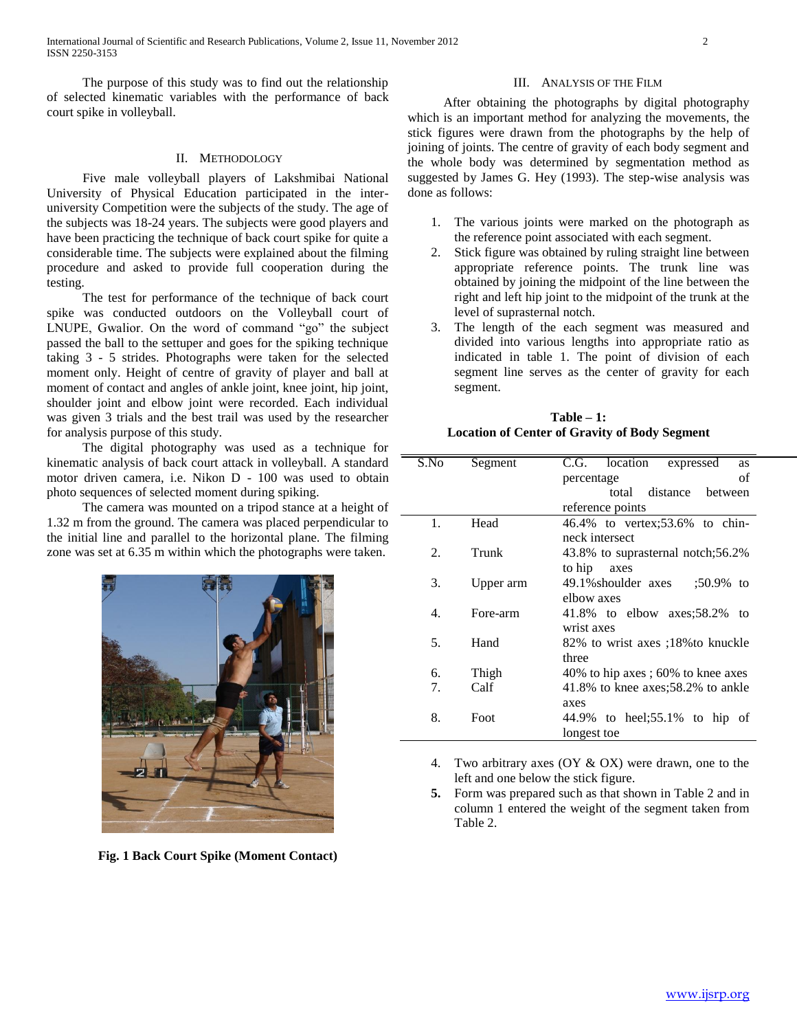The purpose of this study was to find out the relationship of selected kinematic variables with the performance of back court spike in volleyball.

# II. METHODOLOGY

 Five male volleyball players of Lakshmibai National University of Physical Education participated in the interuniversity Competition were the subjects of the study. The age of the subjects was 18-24 years. The subjects were good players and have been practicing the technique of back court spike for quite a considerable time. The subjects were explained about the filming procedure and asked to provide full cooperation during the testing.

 The test for performance of the technique of back court spike was conducted outdoors on the Volleyball court of LNUPE, Gwalior. On the word of command "go" the subject passed the ball to the settuper and goes for the spiking technique taking 3 - 5 strides. Photographs were taken for the selected moment only. Height of centre of gravity of player and ball at moment of contact and angles of ankle joint, knee joint, hip joint, shoulder joint and elbow joint were recorded. Each individual was given 3 trials and the best trail was used by the researcher for analysis purpose of this study.

 The digital photography was used as a technique for kinematic analysis of back court attack in volleyball. A standard motor driven camera, i.e. Nikon D - 100 was used to obtain photo sequences of selected moment during spiking.

 The camera was mounted on a tripod stance at a height of 1.32 m from the ground. The camera was placed perpendicular to the initial line and parallel to the horizontal plane. The filming zone was set at 6.35 m within which the photographs were taken.



**Fig. 1 Back Court Spike (Moment Contact)**

#### III. ANALYSIS OF THE FILM

 After obtaining the photographs by digital photography which is an important method for analyzing the movements, the stick figures were drawn from the photographs by the help of joining of joints. The centre of gravity of each body segment and the whole body was determined by segmentation method as suggested by James G. Hey (1993). The step-wise analysis was done as follows:

- 1. The various joints were marked on the photograph as the reference point associated with each segment.
- 2. Stick figure was obtained by ruling straight line between appropriate reference points. The trunk line was obtained by joining the midpoint of the line between the right and left hip joint to the midpoint of the trunk at the level of suprasternal notch.
- 3. The length of the each segment was measured and divided into various lengths into appropriate ratio as indicated in table 1. The point of division of each segment line serves as the center of gravity for each segment.

| $Table - 1:$                                  |  |
|-----------------------------------------------|--|
| Location of Center of Gravity of Body Segment |  |

| S.No | Segment   | C.G. location<br>expressed<br><b>as</b> |  |
|------|-----------|-----------------------------------------|--|
|      |           | of<br>percentage                        |  |
|      |           | total distance between                  |  |
|      |           | reference points                        |  |
| 1.   | Head      | 46.4% to vertex:53.6% to chin-          |  |
|      |           | neck intersect                          |  |
| 2.   | Trunk     | 43.8% to suprasternal notch;56.2%       |  |
|      |           | to hip<br>axes                          |  |
| 3.   | Upper arm | 49.1% shoulder axes<br>$:50.9\%$ to     |  |
|      |           | elbow axes                              |  |
| 4.   | Fore-arm  | 41.8% to elbow axes: $58.2\%$ to        |  |
|      |           | wrist axes                              |  |
| 5.   | Hand      | 82% to wrist axes ;18% to knuckle       |  |
|      |           | three                                   |  |
| 6.   | Thigh     | 40% to hip axes ; 60% to knee axes      |  |
| 7.   | Calf      | 41.8% to knee axes; $58.2\%$ to ankle   |  |
|      |           | axes                                    |  |
| 8.   | Foot      | 44.9% to heel;55.1% to hip of           |  |
|      |           | longest toe                             |  |

- 4. Two arbitrary axes (OY & OX) were drawn, one to the left and one below the stick figure.
- **5.** Form was prepared such as that shown in Table 2 and in column 1 entered the weight of the segment taken from Table 2.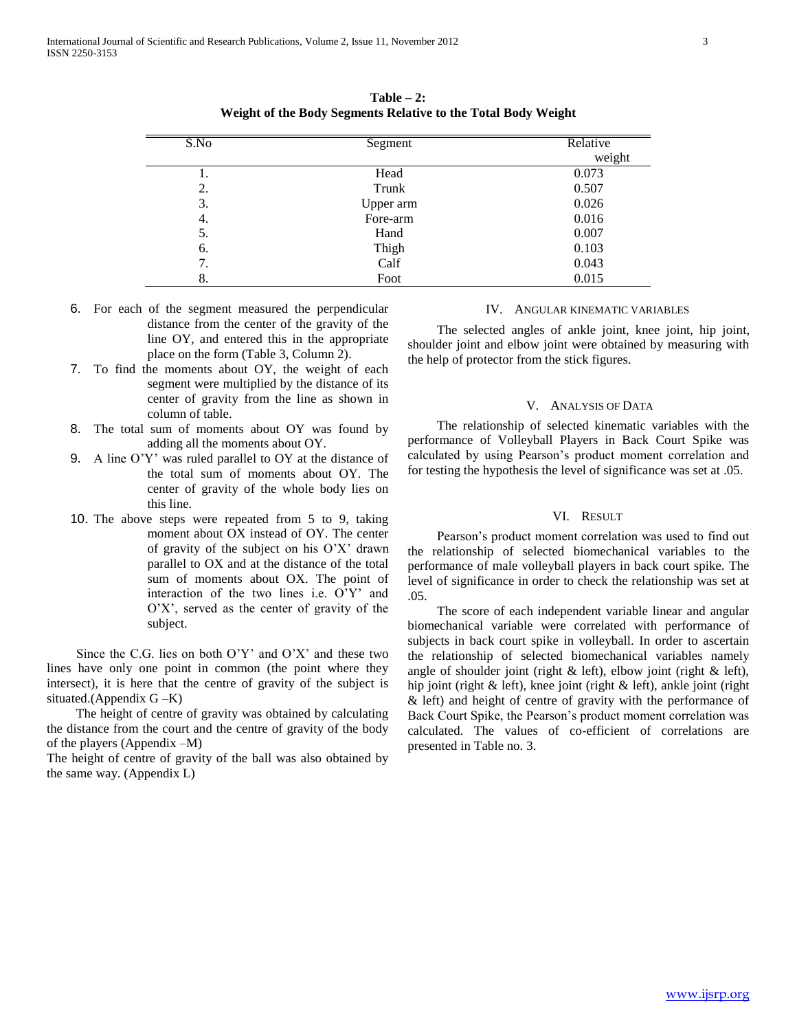| S.No | Segment   | Relative |
|------|-----------|----------|
|      |           | weight   |
| 1.   | Head      | 0.073    |
| 2.   | Trunk     | 0.507    |
| 3.   | Upper arm | 0.026    |
| 4.   | Fore-arm  | 0.016    |
| 5.   | Hand      | 0.007    |
| 6.   | Thigh     | 0.103    |
| 7.   | Calf      | 0.043    |
| 8.   | Foot      | 0.015    |

**Table – 2: Weight of the Body Segments Relative to the Total Body Weight**

- 6. For each of the segment measured the perpendicular distance from the center of the gravity of the line OY, and entered this in the appropriate place on the form (Table 3, Column 2).
- 7. To find the moments about OY, the weight of each segment were multiplied by the distance of its center of gravity from the line as shown in column of table.
- 8. The total sum of moments about OY was found by adding all the moments about OY.
- 9. A line O'Y' was ruled parallel to OY at the distance of the total sum of moments about OY. The center of gravity of the whole body lies on this line.
- 10. The above steps were repeated from 5 to 9, taking moment about OX instead of OY. The center of gravity of the subject on his O'X' drawn parallel to OX and at the distance of the total sum of moments about OX. The point of interaction of the two lines i.e. O'Y' and O'X', served as the center of gravity of the subject.

 Since the C.G. lies on both O'Y' and O'X' and these two lines have only one point in common (the point where they intersect), it is here that the centre of gravity of the subject is situated.(Appendix G –K)

 The height of centre of gravity was obtained by calculating the distance from the court and the centre of gravity of the body of the players (Appendix –M)

The height of centre of gravity of the ball was also obtained by the same way. (Appendix L)

# IV. ANGULAR KINEMATIC VARIABLES

 The selected angles of ankle joint, knee joint, hip joint, shoulder joint and elbow joint were obtained by measuring with the help of protector from the stick figures.

# V. ANALYSIS OF DATA

 The relationship of selected kinematic variables with the performance of Volleyball Players in Back Court Spike was calculated by using Pearson's product moment correlation and for testing the hypothesis the level of significance was set at .05.

#### VI. RESULT

 Pearson's product moment correlation was used to find out the relationship of selected biomechanical variables to the performance of male volleyball players in back court spike. The level of significance in order to check the relationship was set at .05.

 The score of each independent variable linear and angular biomechanical variable were correlated with performance of subjects in back court spike in volleyball. In order to ascertain the relationship of selected biomechanical variables namely angle of shoulder joint (right  $\&$  left), elbow joint (right  $\&$  left), hip joint (right & left), knee joint (right & left), ankle joint (right & left) and height of centre of gravity with the performance of Back Court Spike, the Pearson's product moment correlation was calculated. The values of co-efficient of correlations are presented in Table no. 3.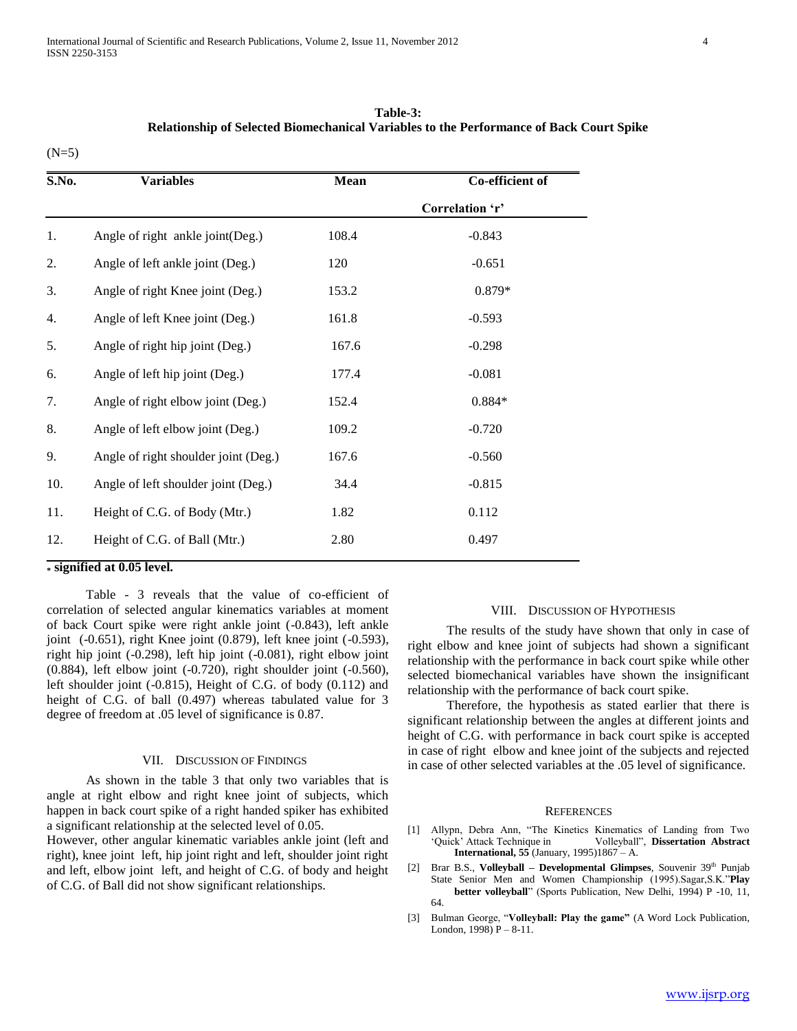| Table-3:                                                                                |
|-----------------------------------------------------------------------------------------|
| Relationship of Selected Biomechanical Variables to the Performance of Back Court Spike |

| ٠<br>× |
|--------|
|        |

| S.No.            | <b>Variables</b>                     | <b>Mean</b> | Co-efficient of |
|------------------|--------------------------------------|-------------|-----------------|
|                  |                                      |             | Correlation 'r' |
| 1.               | Angle of right ankle joint(Deg.)     | 108.4       | $-0.843$        |
| 2.               | Angle of left ankle joint (Deg.)     | 120         | $-0.651$        |
| 3.               | Angle of right Knee joint (Deg.)     | 153.2       | 0.879*          |
| $\overline{4}$ . | Angle of left Knee joint (Deg.)      | 161.8       | $-0.593$        |
| 5.               | Angle of right hip joint (Deg.)      | 167.6       | $-0.298$        |
| 6.               | Angle of left hip joint (Deg.)       | 177.4       | $-0.081$        |
| 7.               | Angle of right elbow joint (Deg.)    | 152.4       | $0.884*$        |
| 8.               | Angle of left elbow joint (Deg.)     | 109.2       | $-0.720$        |
| 9.               | Angle of right shoulder joint (Deg.) | 167.6       | $-0.560$        |
| 10.              | Angle of left shoulder joint (Deg.)  | 34.4        | $-0.815$        |
| 11.              | Height of C.G. of Body (Mtr.)        | 1.82        | 0.112           |
| 12.              | Height of C.G. of Ball (Mtr.)        | 2.80        | 0.497           |

## **\* signified at 0.05 level.**

 Table - 3 reveals that the value of co-efficient of correlation of selected angular kinematics variables at moment of back Court spike were right ankle joint (-0.843), left ankle joint (-0.651), right Knee joint (0.879), left knee joint (-0.593), right hip joint (-0.298), left hip joint (-0.081), right elbow joint (0.884), left elbow joint (-0.720), right shoulder joint (-0.560), left shoulder joint (-0.815), Height of C.G. of body (0.112) and height of C.G. of ball (0.497) whereas tabulated value for 3 degree of freedom at .05 level of significance is 0.87.

#### VII. DISCUSSION OF FINDINGS

 As shown in the table 3 that only two variables that is angle at right elbow and right knee joint of subjects, which happen in back court spike of a right handed spiker has exhibited a significant relationship at the selected level of 0.05.

However, other angular kinematic variables ankle joint (left and right), knee joint left, hip joint right and left, shoulder joint right and left, elbow joint left, and height of C.G. of body and height of C.G. of Ball did not show significant relationships.

#### VIII. DISCUSSION OF HYPOTHESIS

 The results of the study have shown that only in case of right elbow and knee joint of subjects had shown a significant relationship with the performance in back court spike while other selected biomechanical variables have shown the insignificant relationship with the performance of back court spike.

 Therefore, the hypothesis as stated earlier that there is significant relationship between the angles at different joints and height of C.G. with performance in back court spike is accepted in case of right elbow and knee joint of the subjects and rejected in case of other selected variables at the .05 level of significance.

#### **REFERENCES**

- [1] Allypn, Debra Ann, "The Kinetics Kinematics of Landing from Two 'Quick' Attack Technique in Volleyball", **Dissertation Abstract International, 55** (January, 1995)1867 – A.
- [2] Brar B.S., **Volleyball Developmental Glimpses**, Souvenir 39<sup>th</sup> Punjab State Senior Men and Women Championship (1995).Sagar,S.K."**Play better volleyball**" (Sports Publication, New Delhi, 1994) P -10, 11, 64.
- [3] Bulman George, "**Volleyball: Play the game"** (A Word Lock Publication, London, 1998) P – 8-11.